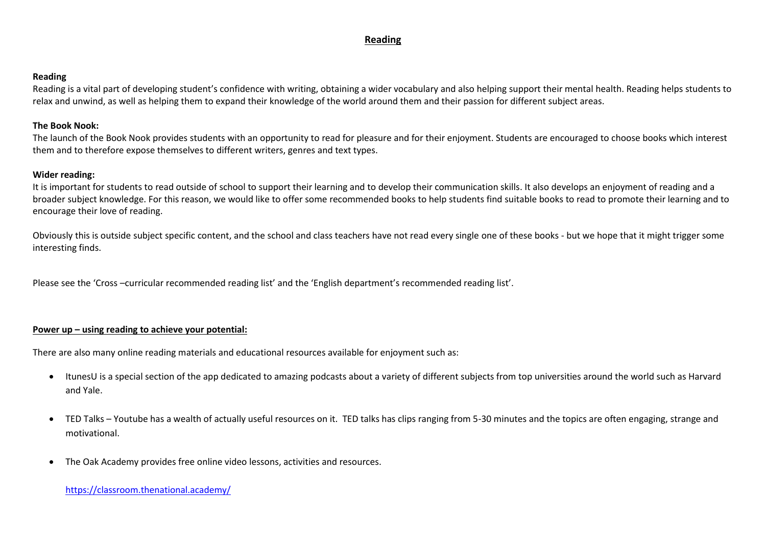# **Reading**

#### **Reading**

Reading is a vital part of developing student's confidence with writing, obtaining a wider vocabulary and also helping support their mental health. Reading helps students to relax and unwind, as well as helping them to expand their knowledge of the world around them and their passion for different subject areas.

### **The Book Nook:**

The launch of the Book Nook provides students with an opportunity to read for pleasure and for their enjoyment. Students are encouraged to choose books which interest them and to therefore expose themselves to different writers, genres and text types.

### **Wider reading:**

It is important for students to read outside of school to support their learning and to develop their communication skills. It also develops an enjoyment of reading and a broader subject knowledge. For this reason, we would like to offer some recommended books to help students find suitable books to read to promote their learning and to encourage their love of reading.

Obviously this is outside subject specific content, and the school and class teachers have not read every single one of these books - but we hope that it might trigger some interesting finds.

Please see the 'Cross –curricular recommended reading list' and the 'English department's recommended reading list'.

#### **Power up – using reading to achieve your potential:**

There are also many online reading materials and educational resources available for enjoyment such as:

- ItunesU is a special section of the app dedicated to amazing podcasts about a variety of different subjects from top universities around the world such as Harvard and Yale.
- TED Talks Youtube has a wealth of actually useful resources on it. TED talks has clips ranging from 5-30 minutes and the topics are often engaging, strange and motivational.
- The Oak Academy provides free online video lessons, activities and resources.

#### <https://classroom.thenational.academy/>